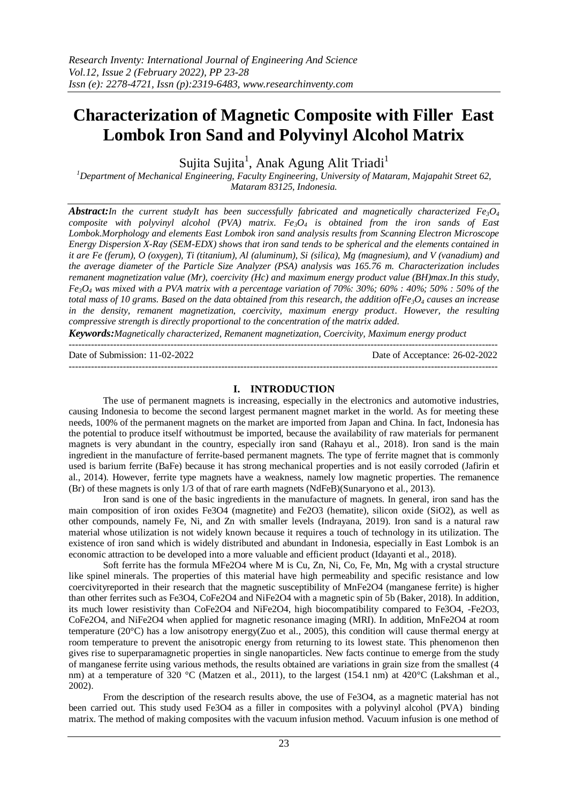# **Characterization of Magnetic Composite with Filler East Lombok Iron Sand and Polyvinyl Alcohol Matrix**

Sujita Sujita<sup>1</sup>, Anak Agung Alit Triadi<sup>1</sup>

*<sup>1</sup>Department of Mechanical Engineering, Faculty Engineering, University of Mataram, Majapahit Street 62, Mataram 83125, Indonesia.*

*Abstract:In the current studyIt has been successfully fabricated and magnetically characterized Fe<sub>3</sub>O<sub>4</sub> composite with polyvinyl alcohol (PVA) matrix. Fe3O<sup>4</sup> is obtained from the iron sands of East Lombok.Morphology and elements East Lombok iron sand analysis results from Scanning Electron Microscope Energy Dispersion X-Ray (SEM-EDX) shows that iron sand tends to be spherical and the elements contained in it are Fe (ferum), O (oxygen), Ti (titanium), Al (aluminum), Si (silica), Mg (magnesium), and V (vanadium) and the average diameter of the Particle Size Analyzer (PSA) analysis was 165.76 m. Characterization includes remanent magnetization value (Mr), coercivity (Hc) and maximum energy product value (BH)max.In this study, Fe3O<sup>4</sup> was mixed with a PVA matrix with a percentage variation of 70%: 30%; 60% : 40%; 50% : 50% of the total mass of 10 grams. Based on the data obtained from this research, the addition ofFe3O<sup>4</sup> causes an increase in the density, remanent magnetization, coercivity, maximum energy product. However, the resulting compressive strength is directly proportional to the concentration of the matrix added.*

*Keywords:Magnetically characterized, Remanent magnetization, Coercivity, Maximum energy product* 

 $-1\leq i\leq n-1\leq n-1\leq n-1\leq n-1\leq n-1\leq n-1\leq n-1\leq n-1\leq n-1\leq n-1\leq n-1\leq n-1\leq n-1\leq n-1\leq n-1\leq n-1\leq n-1\leq n-1\leq n-1\leq n-1\leq n-1\leq n-1\leq n-1\leq n-1\leq n-1\leq n-1\leq n-1\leq n-1\leq n-1\leq n-1\leq n-1\leq n-1\leq n-1\leq n-1\leq n-1\leq n$ 

Date of Submission: 11-02-2022 Date of Acceptance: 26-02-2022

---------------------------------------------------------------------------------------------------------------------------------------

## **I. INTRODUCTION**

The use of permanent magnets is increasing, especially in the electronics and automotive industries, causing Indonesia to become the second largest permanent magnet market in the world. As for meeting these needs, 100% of the permanent magnets on the market are imported from Japan and China. In fact, Indonesia has the potential to produce itself withoutmust be imported, because the availability of raw materials for permanent magnets is very abundant in the country, especially iron sand (Rahayu et al., 2018). Iron sand is the main ingredient in the manufacture of ferrite-based permanent magnets. The type of ferrite magnet that is commonly used is barium ferrite (BaFe) because it has strong mechanical properties and is not easily corroded (Jafirin et al., 2014). However, ferrite type magnets have a weakness, namely low magnetic properties. The remanence (Br) of these magnets is only 1/3 of that of rare earth magnets (NdFeB)(Sunaryono et al., 2013).

Iron sand is one of the basic ingredients in the manufacture of magnets. In general, iron sand has the main composition of iron oxides Fe3O4 (magnetite) and Fe2O3 (hematite), silicon oxide (SiO2), as well as other compounds, namely Fe, Ni, and Zn with smaller levels (Indrayana, 2019). Iron sand is a natural raw material whose utilization is not widely known because it requires a touch of technology in its utilization. The existence of iron sand which is widely distributed and abundant in Indonesia, especially in East Lombok is an economic attraction to be developed into a more valuable and efficient product (Idayanti et al., 2018).

Soft ferrite has the formula MFe2O4 where M is Cu, Zn, Ni, Co, Fe, Mn, Mg with a crystal structure like spinel minerals. The properties of this material have high permeability and specific resistance and low coercivityreported in their research that the magnetic susceptibility of MnFe2O4 (manganese ferrite) is higher than other ferrites such as Fe3O4, CoFe2O4 and NiFe2O4 with a magnetic spin of 5b (Baker, 2018). In addition, its much lower resistivity than CoFe2O4 and NiFe2O4, high biocompatibility compared to Fe3O4, -Fe2O3, CoFe2O4, and NiFe2O4 when applied for magnetic resonance imaging (MRI). In addition, MnFe2O4 at room temperature (20°C) has a low anisotropy energy(Zuo et al., 2005), this condition will cause thermal energy at room temperature to prevent the anisotropic energy from returning to its lowest state. This phenomenon then gives rise to superparamagnetic properties in single nanoparticles. New facts continue to emerge from the study of manganese ferrite using various methods, the results obtained are variations in grain size from the smallest (4 nm) at a temperature of 320 °C (Matzen et al., 2011), to the largest (154.1 nm) at 420 °C (Lakshman et al., 2002).

From the description of the research results above, the use of Fe3O4, as a magnetic material has not been carried out. This study used Fe3O4 as a filler in composites with a polyvinyl alcohol (PVA) binding matrix. The method of making composites with the vacuum infusion method. Vacuum infusion is one method of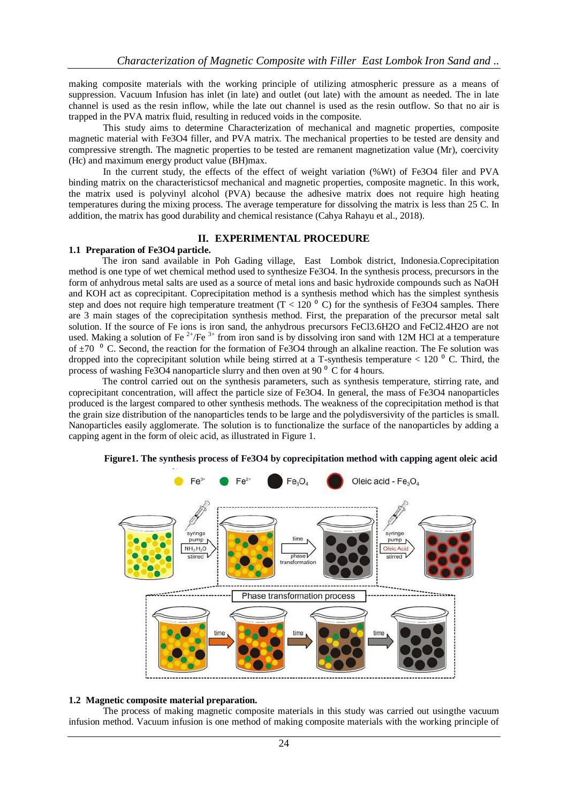making composite materials with the working principle of utilizing atmospheric pressure as a means of suppression. Vacuum Infusion has inlet (in late) and outlet (out late) with the amount as needed. The in late channel is used as the resin inflow, while the late out channel is used as the resin outflow. So that no air is trapped in the PVA matrix fluid, resulting in reduced voids in the composite.

This study aims to determine Characterization of mechanical and magnetic properties, composite magnetic material with Fe3O4 filler, and PVA matrix. The mechanical properties to be tested are density and compressive strength. The magnetic properties to be tested are remanent magnetization value (Mr), coercivity (Hc) and maximum energy product value (BH)max.

In the current study, the effects of the effect of weight variation (%Wt) of Fe3O4 filer and PVA binding matrix on the characteristicsof mechanical and magnetic properties, composite magnetic. In this work, the matrix used is polyvinyl alcohol (PVA) because the adhesive matrix does not require high heating temperatures during the mixing process. The average temperature for dissolving the matrix is less than 25 C. In addition, the matrix has good durability and chemical resistance (Cahya Rahayu et al., 2018).

## **II. EXPERIMENTAL PROCEDURE**

## **1.1 Preparation of Fe3O4 particle.**

The iron sand available in Poh Gading village, East Lombok district, Indonesia.Coprecipitation method is one type of wet chemical method used to synthesize Fe3O4. In the synthesis process, precursors in the form of anhydrous metal salts are used as a source of metal ions and basic hydroxide compounds such as NaOH and KOH act as coprecipitant. Coprecipitation method is a synthesis method which has the simplest synthesis step and does not require high temperature treatment ( $T < 120$ <sup>0</sup> C) for the synthesis of Fe3O4 samples. There are 3 main stages of the coprecipitation synthesis method. First, the preparation of the precursor metal salt solution. If the source of Fe ions is iron sand, the anhydrous precursors FeCl3.6H2O and FeCl2.4H2O are not used. Making a solution of Fe<sup>2+</sup>/Fe<sup>3+</sup> from iron sand is by dissolving iron sand with 12M HCl at a temperature of  $\pm 70$  ° C. Second, the reaction for the formation of Fe3O4 through an alkaline reaction. The Fe solution was dropped into the coprecipitant solution while being stirred at a T-synthesis temperature  $< 120<sup>o</sup>$  C. Third, the process of washing Fe3O4 nanoparticle slurry and then oven at 90 $^{\circ}$  C for 4 hours.

The control carried out on the synthesis parameters, such as synthesis temperature, stirring rate, and coprecipitant concentration, will affect the particle size of Fe3O4. In general, the mass of Fe3O4 nanoparticles produced is the largest compared to other synthesis methods. The weakness of the coprecipitation method is that the grain size distribution of the nanoparticles tends to be large and the polydisversivity of the particles is small. Nanoparticles easily agglomerate. The solution is to functionalize the surface of the nanoparticles by adding a capping agent in the form of oleic acid, as illustrated in Figure 1.



**Figure1. The synthesis process of Fe3O4 by coprecipitation method with capping agent oleic acid**

# **1.2 Magnetic composite material preparation.**

The process of making magnetic composite materials in this study was carried out usingthe vacuum infusion method. Vacuum infusion is one method of making composite materials with the working principle of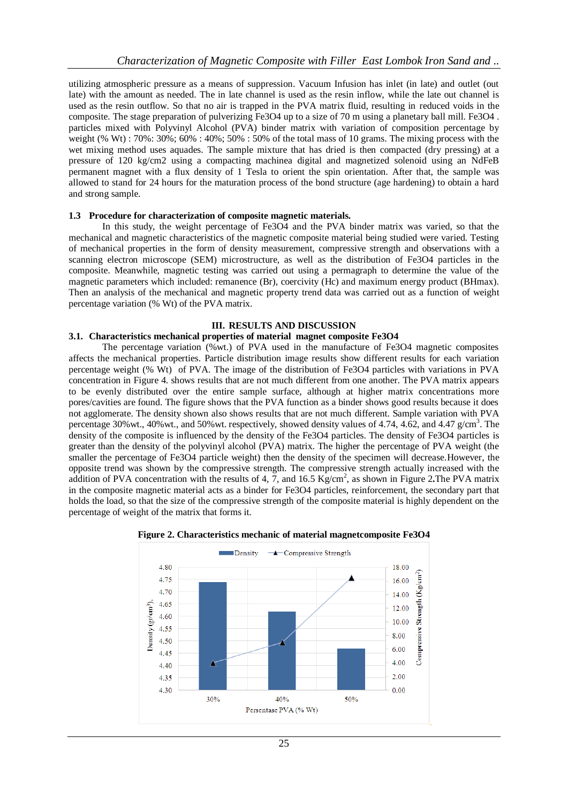utilizing atmospheric pressure as a means of suppression. Vacuum Infusion has inlet (in late) and outlet (out late) with the amount as needed. The in late channel is used as the resin inflow, while the late out channel is used as the resin outflow. So that no air is trapped in the PVA matrix fluid, resulting in reduced voids in the composite. The stage preparation of pulverizing Fe3O4 up to a size of 70 m using a planetary ball mill. Fe3O4 . particles mixed with Polyvinyl Alcohol (PVA) binder matrix with variation of composition percentage by weight (% Wt) : 70%: 30%; 60% : 40%; 50% : 50% of the total mass of 10 grams. The mixing process with the wet mixing method uses aquades. The sample mixture that has dried is then compacted (dry pressing) at a pressure of 120 kg/cm2 using a compacting machinea digital and magnetized solenoid using an NdFeB permanent magnet with a flux density of 1 Tesla to orient the spin orientation. After that, the sample was allowed to stand for 24 hours for the maturation process of the bond structure (age hardening) to obtain a hard and strong sample.

## **1.3 Procedure for characterization of composite magnetic materials.**

In this study, the weight percentage of Fe3O4 and the PVA binder matrix was varied, so that the mechanical and magnetic characteristics of the magnetic composite material being studied were varied. Testing of mechanical properties in the form of density measurement, compressive strength and observations with a scanning electron microscope (SEM) microstructure, as well as the distribution of Fe3O4 particles in the composite. Meanwhile, magnetic testing was carried out using a permagraph to determine the value of the magnetic parameters which included: remanence (Br), coercivity (Hc) and maximum energy product (BHmax). Then an analysis of the mechanical and magnetic property trend data was carried out as a function of weight percentage variation (% Wt) of the PVA matrix.

#### **III. RESULTS AND DISCUSSION**

#### **3.1. Characteristics mechanical properties of material magnet composite Fe3O4**

The percentage variation (%wt.) of PVA used in the manufacture of Fe3O4 magnetic composites affects the mechanical properties. Particle distribution image results show different results for each variation percentage weight (% Wt) of PVA. The image of the distribution of Fe3O4 particles with variations in PVA concentration in Figure 4. shows results that are not much different from one another. The PVA matrix appears to be evenly distributed over the entire sample surface, although at higher matrix concentrations more pores/cavities are found. The figure shows that the PVA function as a binder shows good results because it does not agglomerate. The density shown also shows results that are not much different. Sample variation with PVA percentage 30% wt., 40% wt., and 50% wt. respectively, showed density values of 4.74, 4.62, and 4.47 g/cm<sup>3</sup>. The density of the composite is influenced by the density of the Fe3O4 particles. The density of Fe3O4 particles is greater than the density of the polyvinyl alcohol (PVA) matrix. The higher the percentage of PVA weight (the smaller the percentage of Fe3O4 particle weight) then the density of the specimen will decrease.However, the opposite trend was shown by the compressive strength. The compressive strength actually increased with the addition of PVA concentration with the results of 4, 7, and 16.5 Kg/cm<sup>2</sup>, as shown in Figure 2. The PVA matrix in the composite magnetic material acts as a binder for Fe3O4 particles, reinforcement, the secondary part that holds the load, so that the size of the compressive strength of the composite material is highly dependent on the percentage of weight of the matrix that forms it.



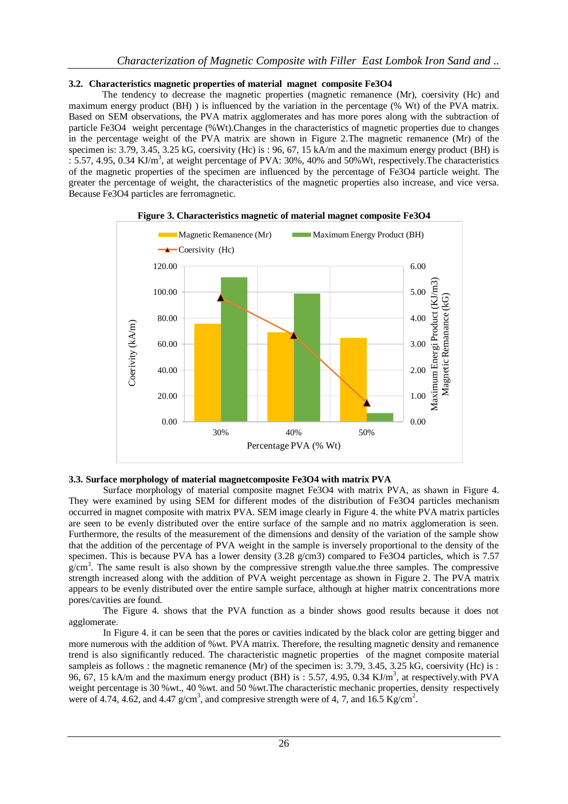# **3.2. Characteristics magnetic properties of material magnet composite Fe3O4**

The tendency to decrease the magnetic properties (magnetic remanence (Mr), coersivity (Hc) and maximum energy product (BH) ) is influenced by the variation in the percentage (% Wt) of the PVA matrix. Based on SEM observations, the PVA matrix agglomerates and has more pores along with the subtraction of particle Fe3O4 weight percentage (%Wt).Changes in the characteristics of magnetic properties due to changes in the percentage weight of the PVA matrix are shown in Figure 2.The magnetic remanence (Mr) of the specimen is: 3.79, 3.45, 3.25 kG, coersivity (Hc) is : 96, 67, 15 kA/m and the maximum energy product (BH) is  $: 5.57, 4.95, 0.34 \text{ KJ/m}^3$ , at weight percentage of PVA: 30%, 40% and 50%Wt, respectively. The characteristics of the magnetic properties of the specimen are influenced by the percentage of Fe3O4 particle weight. The greater the percentage of weight, the characteristics of the magnetic properties also increase, and vice versa. Because Fe3O4 particles are ferromagnetic.



# **Figure 3. Characteristics magnetic of material magnet composite Fe3O4**

## **3.3. Surface morphology of material magnetcomposite Fe3O4 with matrix PVA**

Surface morphology of material composite magnet Fe3O4 with matrix PVA, as shawn in Figure 4. They were examined by using SEM for different modes of the distribution of Fe3O4 particles mechanism occurred in magnet composite with matrix PVA. SEM image clearly in Figure 4. the white PVA matrix particles are seen to be evenly distributed over the entire surface of the sample and no matrix agglomeration is seen. Furthermore, the results of the measurement of the dimensions and density of the variation of the sample show that the addition of the percentage of PVA weight in the sample is inversely proportional to the density of the specimen. This is because PVA has a lower density (3.28  $g/cm3$ ) compared to Fe3O4 particles, which is 7.57  $g/cm<sup>3</sup>$ . The same result is also shown by the compressive strength value.the three samples. The compressive strength increased along with the addition of PVA weight percentage as shown in Figure 2. The PVA matrix appears to be evenly distributed over the entire sample surface, although at higher matrix concentrations more pores/cavities are found.

The Figure 4. shows that the PVA function as a binder shows good results because it does not agglomerate.

In Figure 4. it can be seen that the pores or cavities indicated by the black color are getting bigger and more numerous with the addition of %wt. PVA matrix. Therefore, the resulting magnetic density and remanence trend is also significantly reduced. The characteristic magnetic properties of the magnet composite material sampleis as follows : the magnetic remanence (Mr) of the specimen is: 3.79, 3.45, 3.25 kG, coersivity (Hc) is : 96, 67, 15 kA/m and the maximum energy product (BH) is : 5.57, 4.95, 0.34 KJ/m<sup>3</sup>, at respectively.with PVA weight percentage is 30 %wt., 40 %wt. and 50 %wt. The characteristic mechanic properties, density respectively were of 4.74, 4.62, and 4.47  $g/cm<sup>3</sup>$ , and compresive strength were of 4, 7, and 16.5 Kg/cm<sup>2</sup>.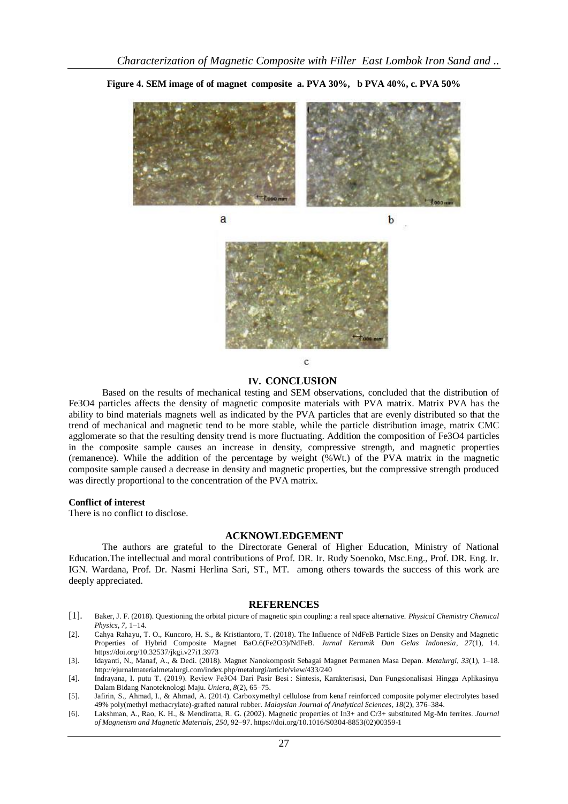

**Figure 4. SEM image of of magnet composite a. PVA 30%, b PVA 40%, c. PVA 50%**

a





 $\mathbf{C}$ 

### **IV. CONCLUSION**

Based on the results of mechanical testing and SEM observations, concluded that the distribution of Fe3O4 particles affects the density of magnetic composite materials with PVA matrix. Matrix PVA has the ability to bind materials magnets well as indicated by the PVA particles that are evenly distributed so that the trend of mechanical and magnetic tend to be more stable, while the particle distribution image, matrix CMC agglomerate so that the resulting density trend is more fluctuating. Addition the composition of Fe3O4 particles in the composite sample causes an increase in density, compressive strength, and magnetic properties (remanence). While the addition of the percentage by weight (%Wt.) of the PVA matrix in the magnetic composite sample caused a decrease in density and magnetic properties, but the compressive strength produced was directly proportional to the concentration of the PVA matrix.

#### **Conflict of interest**

There is no conflict to disclose.

#### **ACKNOWLEDGEMENT**

The authors are grateful to the Directorate General of Higher Education, Ministry of National Education.The intellectual and moral contributions of Prof. DR. Ir. Rudy Soenoko, Msc.Eng., Prof. DR. Eng. Ir. IGN. Wardana, Prof. Dr. Nasmi Herlina Sari, ST., MT. among others towards the success of this work are deeply appreciated.

#### **REFERENCES**

- [1]. Baker, J. F. (2018). Questioning the orbital picture of magnetic spin coupling: a real space alternative. *Physical Chemistry Chemical Physics*, *7*, 1–14.
- [2]. Cahya Rahayu, T. O., Kuncoro, H. S., & Kristiantoro, T. (2018). The Influence of NdFeB Particle Sizes on Density and Magnetic Properties of Hybrid Composite Magnet BaO.6(Fe2O3)/NdFeB. *Jurnal Keramik Dan Gelas Indonesia*, *27*(1), 14. https://doi.org/10.32537/jkgi.v27i1.3973
- [3]. Idayanti, N., Manaf, A., & Dedi. (2018). Magnet Nanokomposit Sebagai Magnet Permanen Masa Depan. *Metalurgi*, *33*(1), 1–18. http://ejurnalmaterialmetalurgi.com/index.php/metalurgi/article/view/433/240
- [4]. Indrayana, I. putu T. (2019). Review Fe3O4 Dari Pasir Besi : Sintesis, Karakterisasi, Dan Fungsionalisasi Hingga Aplikasinya Dalam Bidang Nanoteknologi Maju. *Uniera*, *8*(2), 65–75.
- [5]. Jafirin, S., Ahmad, I., & Ahmad, A. (2014). Carboxymethyl cellulose from kenaf reinforced composite polymer electrolytes based 49% poly(methyl methacrylate)-grafted natural rubber. *Malaysian Journal of Analytical Sciences*, *18*(2), 376–384.
- [6]. Lakshman, A., Rao, K. H., & Mendiratta, R. G. (2002). Magnetic properties of In3+ and Cr3+ substituted Mg-Mn ferrites. *Journal of Magnetism and Magnetic Materials*, *250*, 92–97. https://doi.org/10.1016/S0304-8853(02)00359-1